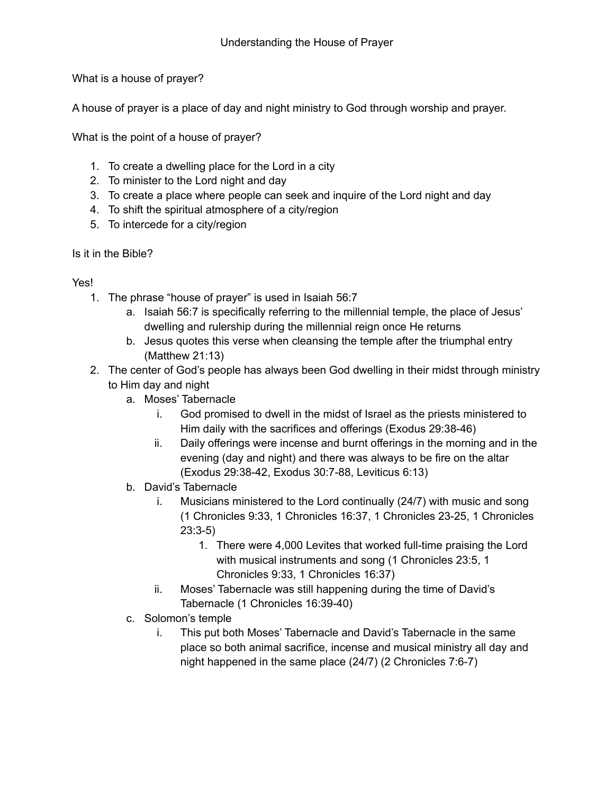What is a house of prayer?

A house of prayer is a place of day and night ministry to God through worship and prayer.

What is the point of a house of prayer?

- 1. To create a dwelling place for the Lord in a city
- 2. To minister to the Lord night and day
- 3. To create a place where people can seek and inquire of the Lord night and day
- 4. To shift the spiritual atmosphere of a city/region
- 5. To intercede for a city/region

## Is it in the Bible?

## Yes!

- 1. The phrase "house of prayer" is used in Isaiah 56:7
	- a. Isaiah 56:7 is specifically referring to the millennial temple, the place of Jesus' dwelling and rulership during the millennial reign once He returns
	- b. Jesus quotes this verse when cleansing the temple after the triumphal entry (Matthew 21:13)
- 2. The center of God's people has always been God dwelling in their midst through ministry to Him day and night
	- a. Moses' Tabernacle
		- i. God promised to dwell in the midst of Israel as the priests ministered to Him daily with the sacrifices and offerings (Exodus 29:38-46)
		- ii. Daily offerings were incense and burnt offerings in the morning and in the evening (day and night) and there was always to be fire on the altar (Exodus 29:38-42, Exodus 30:7-88, Leviticus 6:13)
	- b. David's Tabernacle
		- i. Musicians ministered to the Lord continually (24/7) with music and song (1 Chronicles 9:33, 1 Chronicles 16:37, 1 Chronicles 23-25, 1 Chronicles 23:3-5)
			- 1. There were 4,000 Levites that worked full-time praising the Lord with musical instruments and song (1 Chronicles 23:5, 1 Chronicles 9:33, 1 Chronicles 16:37)
		- ii. Moses' Tabernacle was still happening during the time of David's Tabernacle (1 Chronicles 16:39-40)
	- c. Solomon's temple
		- i. This put both Moses' Tabernacle and David's Tabernacle in the same place so both animal sacrifice, incense and musical ministry all day and night happened in the same place (24/7) (2 Chronicles 7:6-7)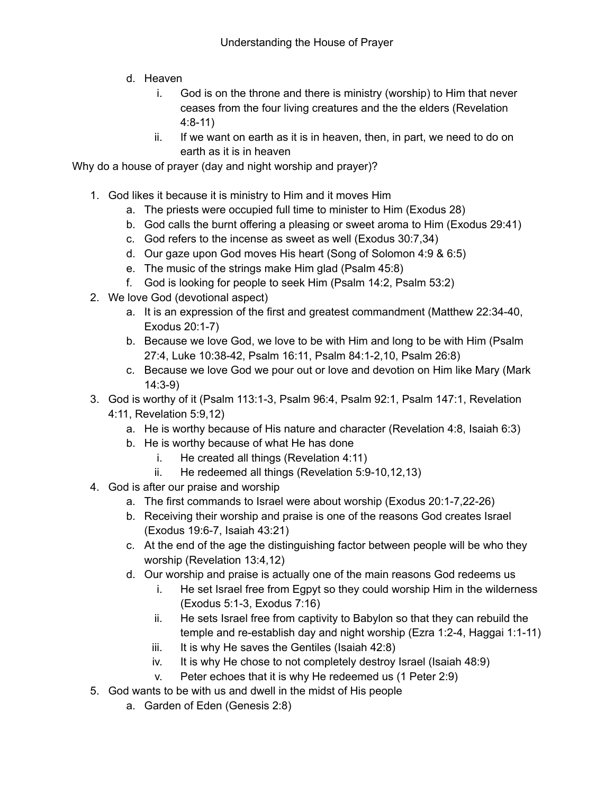- d. Heaven
	- i. God is on the throne and there is ministry (worship) to Him that never ceases from the four living creatures and the the elders (Revelation 4:8-11)
	- ii. If we want on earth as it is in heaven, then, in part, we need to do on earth as it is in heaven

Why do a house of prayer (day and night worship and prayer)?

- 1. God likes it because it is ministry to Him and it moves Him
	- a. The priests were occupied full time to minister to Him (Exodus 28)
	- b. God calls the burnt offering a pleasing or sweet aroma to Him (Exodus 29:41)
	- c. God refers to the incense as sweet as well (Exodus 30:7,34)
	- d. Our gaze upon God moves His heart (Song of Solomon 4:9 & 6:5)
	- e. The music of the strings make Him glad (Psalm 45:8)
	- f. God is looking for people to seek Him (Psalm 14:2, Psalm 53:2)
- 2. We love God (devotional aspect)
	- a. It is an expression of the first and greatest commandment (Matthew 22:34-40, Exodus 20:1-7)
	- b. Because we love God, we love to be with Him and long to be with Him (Psalm 27:4, Luke 10:38-42, Psalm 16:11, Psalm 84:1-2,10, Psalm 26:8)
	- c. Because we love God we pour out or love and devotion on Him like Mary (Mark 14:3-9)
- 3. God is worthy of it (Psalm 113:1-3, Psalm 96:4, Psalm 92:1, Psalm 147:1, Revelation 4:11, Revelation 5:9,12)
	- a. He is worthy because of His nature and character (Revelation 4:8, Isaiah 6:3)
	- b. He is worthy because of what He has done
		- i. He created all things (Revelation 4:11)
		- ii. He redeemed all things (Revelation 5:9-10,12,13)
- 4. God is after our praise and worship
	- a. The first commands to Israel were about worship (Exodus 20:1-7,22-26)
	- b. Receiving their worship and praise is one of the reasons God creates Israel (Exodus 19:6-7, Isaiah 43:21)
	- c. At the end of the age the distinguishing factor between people will be who they worship (Revelation 13:4,12)
	- d. Our worship and praise is actually one of the main reasons God redeems us
		- i. He set Israel free from Egpyt so they could worship Him in the wilderness (Exodus 5:1-3, Exodus 7:16)
		- ii. He sets Israel free from captivity to Babylon so that they can rebuild the temple and re-establish day and night worship (Ezra 1:2-4, Haggai 1:1-11)
		- iii. It is why He saves the Gentiles (Isaiah 42:8)
		- iv. It is why He chose to not completely destroy Israel (Isaiah 48:9)
		- v. Peter echoes that it is why He redeemed us (1 Peter 2:9)
- 5. God wants to be with us and dwell in the midst of His people
	- a. Garden of Eden (Genesis 2:8)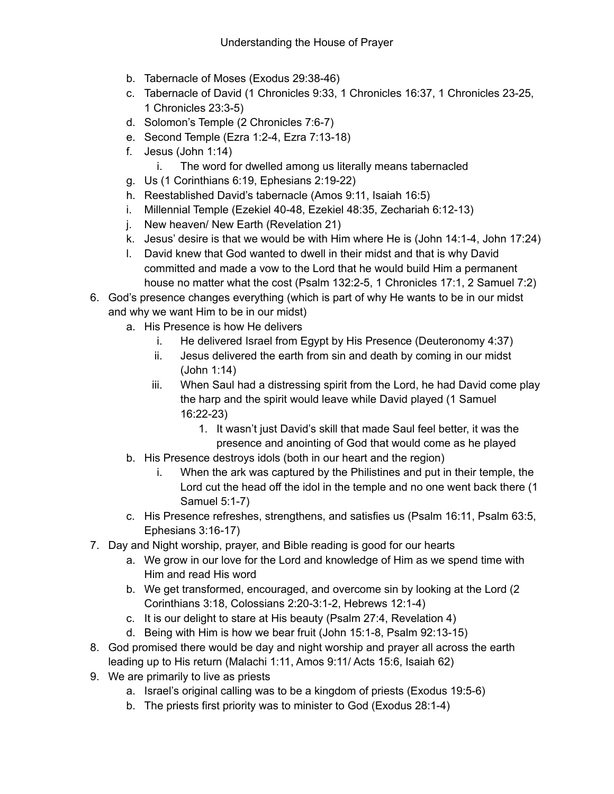- b. Tabernacle of Moses (Exodus 29:38-46)
- c. Tabernacle of David (1 Chronicles 9:33, 1 Chronicles 16:37, 1 Chronicles 23-25, 1 Chronicles 23:3-5)
- d. Solomon's Temple (2 Chronicles 7:6-7)
- e. Second Temple (Ezra 1:2-4, Ezra 7:13-18)
- f. Jesus (John 1:14)
	- i. The word for dwelled among us literally means tabernacled
- g. Us (1 Corinthians 6:19, Ephesians 2:19-22)
- h. Reestablished David's tabernacle (Amos 9:11, Isaiah 16:5)
- i. Millennial Temple (Ezekiel 40-48, Ezekiel 48:35, Zechariah 6:12-13)
- j. New heaven/ New Earth (Revelation 21)
- k. Jesus' desire is that we would be with Him where He is (John 14:1-4, John 17:24)
- l. David knew that God wanted to dwell in their midst and that is why David committed and made a vow to the Lord that he would build Him a permanent house no matter what the cost (Psalm 132:2-5, 1 Chronicles 17:1, 2 Samuel 7:2)
- 6. God's presence changes everything (which is part of why He wants to be in our midst and why we want Him to be in our midst)
	- a. His Presence is how He delivers
		- i. He delivered Israel from Egypt by His Presence (Deuteronomy 4:37)
		- ii. Jesus delivered the earth from sin and death by coming in our midst (John 1:14)
		- iii. When Saul had a distressing spirit from the Lord, he had David come play the harp and the spirit would leave while David played (1 Samuel 16:22-23)
			- 1. It wasn't just David's skill that made Saul feel better, it was the presence and anointing of God that would come as he played
	- b. His Presence destroys idols (both in our heart and the region)
		- i. When the ark was captured by the Philistines and put in their temple, the Lord cut the head off the idol in the temple and no one went back there (1 Samuel 5:1-7)
	- c. His Presence refreshes, strengthens, and satisfies us (Psalm 16:11, Psalm 63:5, Ephesians 3:16-17)
- 7. Day and Night worship, prayer, and Bible reading is good for our hearts
	- a. We grow in our love for the Lord and knowledge of Him as we spend time with Him and read His word
	- b. We get transformed, encouraged, and overcome sin by looking at the Lord (2 Corinthians 3:18, Colossians 2:20-3:1-2, Hebrews 12:1-4)
	- c. It is our delight to stare at His beauty (Psalm 27:4, Revelation 4)
	- d. Being with Him is how we bear fruit (John 15:1-8, Psalm 92:13-15)
- 8. God promised there would be day and night worship and prayer all across the earth leading up to His return (Malachi 1:11, Amos 9:11/ Acts 15:6, Isaiah 62)
- 9. We are primarily to live as priests
	- a. Israel's original calling was to be a kingdom of priests (Exodus 19:5-6)
	- b. The priests first priority was to minister to God (Exodus 28:1-4)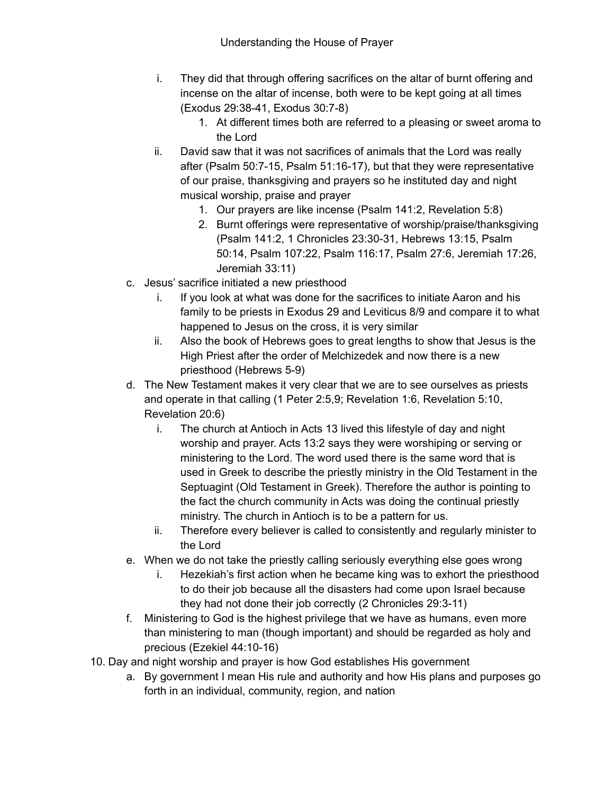- i. They did that through offering sacrifices on the altar of burnt offering and incense on the altar of incense, both were to be kept going at all times (Exodus 29:38-41, Exodus 30:7-8)
	- 1. At different times both are referred to a pleasing or sweet aroma to the Lord
- ii. David saw that it was not sacrifices of animals that the Lord was really after (Psalm 50:7-15, Psalm 51:16-17), but that they were representative of our praise, thanksgiving and prayers so he instituted day and night musical worship, praise and prayer
	- 1. Our prayers are like incense (Psalm 141:2, Revelation 5:8)
	- 2. Burnt offerings were representative of worship/praise/thanksgiving (Psalm 141:2, 1 Chronicles 23:30-31, Hebrews 13:15, Psalm 50:14, Psalm 107:22, Psalm 116:17, Psalm 27:6, Jeremiah 17:26, Jeremiah 33:11)
- c. Jesus' sacrifice initiated a new priesthood
	- i. If you look at what was done for the sacrifices to initiate Aaron and his family to be priests in Exodus 29 and Leviticus 8/9 and compare it to what happened to Jesus on the cross, it is very similar
	- ii. Also the book of Hebrews goes to great lengths to show that Jesus is the High Priest after the order of Melchizedek and now there is a new priesthood (Hebrews 5-9)
- d. The New Testament makes it very clear that we are to see ourselves as priests and operate in that calling (1 Peter 2:5,9; Revelation 1:6, Revelation 5:10, Revelation 20:6)
	- i. The church at Antioch in Acts 13 lived this lifestyle of day and night worship and prayer. Acts 13:2 says they were worshiping or serving or ministering to the Lord. The word used there is the same word that is used in Greek to describe the priestly ministry in the Old Testament in the Septuagint (Old Testament in Greek). Therefore the author is pointing to the fact the church community in Acts was doing the continual priestly ministry. The church in Antioch is to be a pattern for us.
	- ii. Therefore every believer is called to consistently and regularly minister to the Lord
- e. When we do not take the priestly calling seriously everything else goes wrong
	- i. Hezekiah's first action when he became king was to exhort the priesthood to do their job because all the disasters had come upon Israel because they had not done their job correctly (2 Chronicles 29:3-11)
- f. Ministering to God is the highest privilege that we have as humans, even more than ministering to man (though important) and should be regarded as holy and precious (Ezekiel 44:10-16)
- 10. Day and night worship and prayer is how God establishes His government
	- a. By government I mean His rule and authority and how His plans and purposes go forth in an individual, community, region, and nation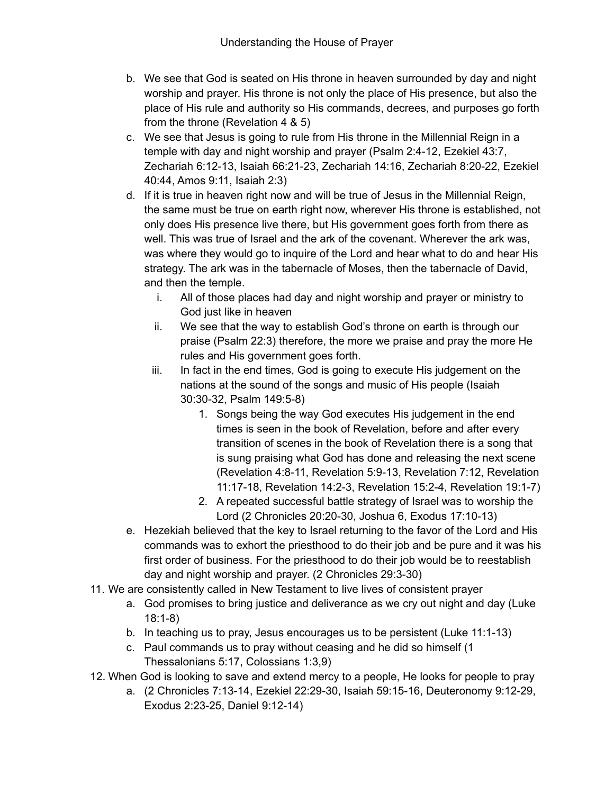- b. We see that God is seated on His throne in heaven surrounded by day and night worship and prayer. His throne is not only the place of His presence, but also the place of His rule and authority so His commands, decrees, and purposes go forth from the throne (Revelation 4 & 5)
- c. We see that Jesus is going to rule from His throne in the Millennial Reign in a temple with day and night worship and prayer (Psalm 2:4-12, Ezekiel 43:7, Zechariah 6:12-13, Isaiah 66:21-23, Zechariah 14:16, Zechariah 8:20-22, Ezekiel 40:44, Amos 9:11, Isaiah 2:3)
- d. If it is true in heaven right now and will be true of Jesus in the Millennial Reign, the same must be true on earth right now, wherever His throne is established, not only does His presence live there, but His government goes forth from there as well. This was true of Israel and the ark of the covenant. Wherever the ark was, was where they would go to inquire of the Lord and hear what to do and hear His strategy. The ark was in the tabernacle of Moses, then the tabernacle of David, and then the temple.
	- i. All of those places had day and night worship and prayer or ministry to God just like in heaven
	- ii. We see that the way to establish God's throne on earth is through our praise (Psalm 22:3) therefore, the more we praise and pray the more He rules and His government goes forth.
	- iii. In fact in the end times, God is going to execute His judgement on the nations at the sound of the songs and music of His people (Isaiah 30:30-32, Psalm 149:5-8)
		- 1. Songs being the way God executes His judgement in the end times is seen in the book of Revelation, before and after every transition of scenes in the book of Revelation there is a song that is sung praising what God has done and releasing the next scene (Revelation 4:8-11, Revelation 5:9-13, Revelation 7:12, Revelation 11:17-18, Revelation 14:2-3, Revelation 15:2-4, Revelation 19:1-7)
		- 2. A repeated successful battle strategy of Israel was to worship the Lord (2 Chronicles 20:20-30, Joshua 6, Exodus 17:10-13)
- e. Hezekiah believed that the key to Israel returning to the favor of the Lord and His commands was to exhort the priesthood to do their job and be pure and it was his first order of business. For the priesthood to do their job would be to reestablish day and night worship and prayer. (2 Chronicles 29:3-30)
- 11. We are consistently called in New Testament to live lives of consistent prayer
	- a. God promises to bring justice and deliverance as we cry out night and day (Luke 18:1-8)
	- b. In teaching us to pray, Jesus encourages us to be persistent (Luke 11:1-13)
	- c. Paul commands us to pray without ceasing and he did so himself (1 Thessalonians 5:17, Colossians 1:3,9)
- 12. When God is looking to save and extend mercy to a people, He looks for people to pray
	- a. (2 Chronicles 7:13-14, Ezekiel 22:29-30, Isaiah 59:15-16, Deuteronomy 9:12-29, Exodus 2:23-25, Daniel 9:12-14)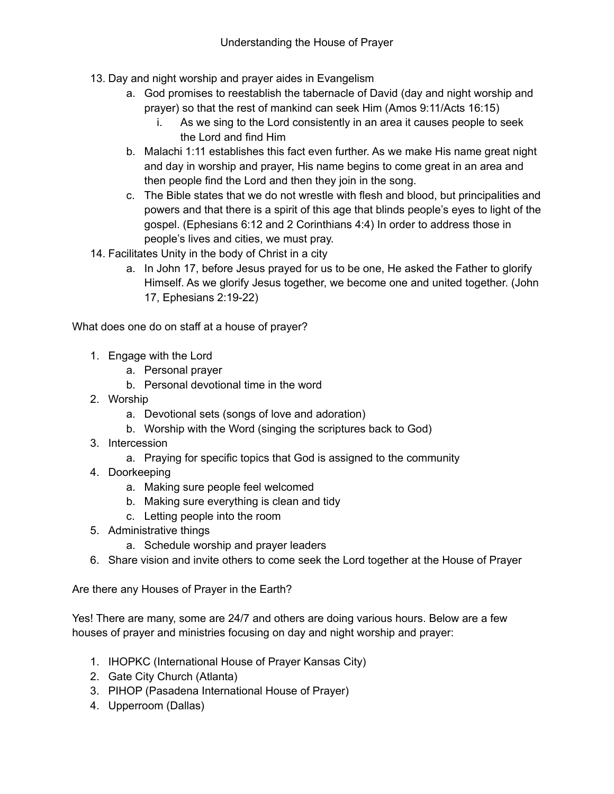- 13. Day and night worship and prayer aides in Evangelism
	- a. God promises to reestablish the tabernacle of David (day and night worship and prayer) so that the rest of mankind can seek Him (Amos 9:11/Acts 16:15)
		- i. As we sing to the Lord consistently in an area it causes people to seek the Lord and find Him
	- b. Malachi 1:11 establishes this fact even further. As we make His name great night and day in worship and prayer, His name begins to come great in an area and then people find the Lord and then they join in the song.
	- c. The Bible states that we do not wrestle with flesh and blood, but principalities and powers and that there is a spirit of this age that blinds people's eyes to light of the gospel. (Ephesians 6:12 and 2 Corinthians 4:4) In order to address those in people's lives and cities, we must pray.
- 14. Facilitates Unity in the body of Christ in a city
	- a. In John 17, before Jesus prayed for us to be one, He asked the Father to glorify Himself. As we glorify Jesus together, we become one and united together. (John 17, Ephesians 2:19-22)

What does one do on staff at a house of prayer?

- 1. Engage with the Lord
	- a. Personal prayer
	- b. Personal devotional time in the word
- 2. Worship
	- a. Devotional sets (songs of love and adoration)
	- b. Worship with the Word (singing the scriptures back to God)
- 3. Intercession
	- a. Praying for specific topics that God is assigned to the community
- 4. Doorkeeping
	- a. Making sure people feel welcomed
	- b. Making sure everything is clean and tidy
	- c. Letting people into the room
- 5. Administrative things
	- a. Schedule worship and prayer leaders
- 6. Share vision and invite others to come seek the Lord together at the House of Prayer

Are there any Houses of Prayer in the Earth?

Yes! There are many, some are 24/7 and others are doing various hours. Below are a few houses of prayer and ministries focusing on day and night worship and prayer:

- 1. IHOPKC (International House of Prayer Kansas City)
- 2. Gate City Church (Atlanta)
- 3. PIHOP (Pasadena International House of Prayer)
- 4. Upperroom (Dallas)